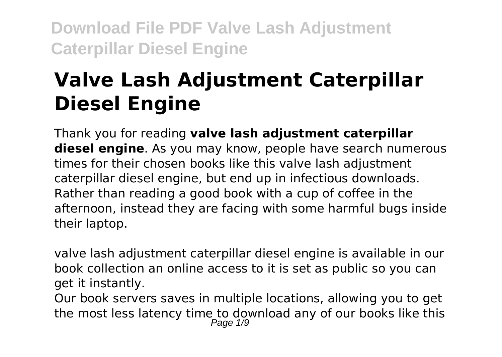# **Valve Lash Adjustment Caterpillar Diesel Engine**

Thank you for reading **valve lash adjustment caterpillar diesel engine**. As you may know, people have search numerous times for their chosen books like this valve lash adjustment caterpillar diesel engine, but end up in infectious downloads. Rather than reading a good book with a cup of coffee in the afternoon, instead they are facing with some harmful bugs inside their laptop.

valve lash adjustment caterpillar diesel engine is available in our book collection an online access to it is set as public so you can get it instantly.

Our book servers saves in multiple locations, allowing you to get the most less latency time to download any of our books like this Page 1/9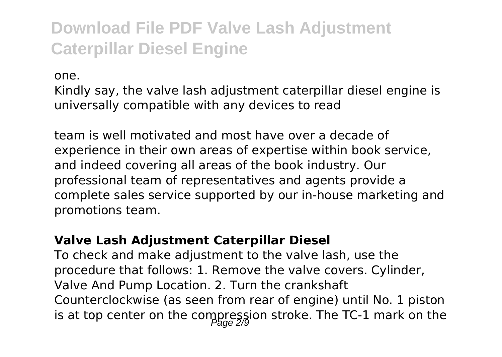one.

Kindly say, the valve lash adjustment caterpillar diesel engine is universally compatible with any devices to read

team is well motivated and most have over a decade of experience in their own areas of expertise within book service, and indeed covering all areas of the book industry. Our professional team of representatives and agents provide a complete sales service supported by our in-house marketing and promotions team.

#### **Valve Lash Adjustment Caterpillar Diesel**

To check and make adjustment to the valve lash, use the procedure that follows: 1. Remove the valve covers. Cylinder, Valve And Pump Location. 2. Turn the crankshaft Counterclockwise (as seen from rear of engine) until No. 1 piston is at top center on the compression stroke. The TC-1 mark on the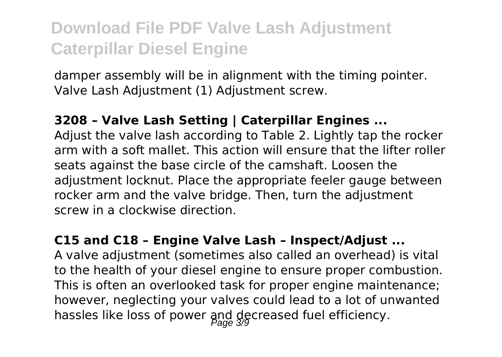damper assembly will be in alignment with the timing pointer. Valve Lash Adjustment (1) Adjustment screw.

#### **3208 – Valve Lash Setting | Caterpillar Engines ...**

Adjust the valve lash according to Table 2. Lightly tap the rocker arm with a soft mallet. This action will ensure that the lifter roller seats against the base circle of the camshaft. Loosen the adjustment locknut. Place the appropriate feeler gauge between rocker arm and the valve bridge. Then, turn the adjustment screw in a clockwise direction.

#### **C15 and C18 – Engine Valve Lash – Inspect/Adjust ...**

A valve adjustment (sometimes also called an overhead) is vital to the health of your diesel engine to ensure proper combustion. This is often an overlooked task for proper engine maintenance; however, neglecting your valves could lead to a lot of unwanted hassles like loss of power and decreased fuel efficiency.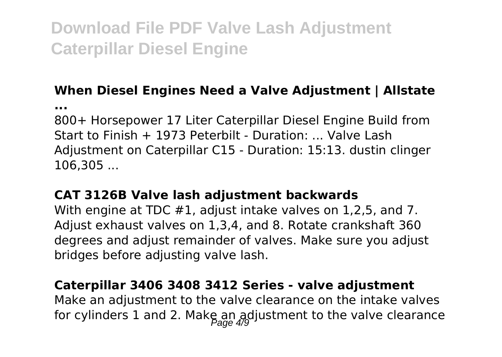#### **When Diesel Engines Need a Valve Adjustment | Allstate**

**...**

800+ Horsepower 17 Liter Caterpillar Diesel Engine Build from Start to Finish  $+$  1973 Peterbilt - Duration: ... Valve Lash Adjustment on Caterpillar C15 - Duration: 15:13. dustin clinger 106,305 ...

#### **CAT 3126B Valve lash adjustment backwards**

With engine at TDC #1, adjust intake valves on 1,2,5, and 7. Adjust exhaust valves on 1,3,4, and 8. Rotate crankshaft 360 degrees and adjust remainder of valves. Make sure you adjust bridges before adjusting valve lash.

#### **Caterpillar 3406 3408 3412 Series - valve adjustment**

Make an adjustment to the valve clearance on the intake valves for cylinders 1 and 2. Make an adjustment to the valve clearance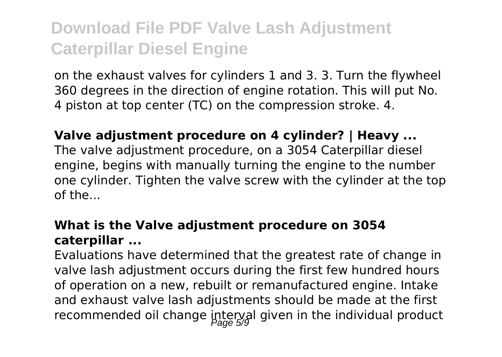on the exhaust valves for cylinders 1 and 3. 3. Turn the flywheel 360 degrees in the direction of engine rotation. This will put No. 4 piston at top center (TC) on the compression stroke. 4.

#### **Valve adjustment procedure on 4 cylinder? | Heavy ...**

The valve adjustment procedure, on a 3054 Caterpillar diesel engine, begins with manually turning the engine to the number one cylinder. Tighten the valve screw with the cylinder at the top of the...

#### **What is the Valve adjustment procedure on 3054 caterpillar ...**

Evaluations have determined that the greatest rate of change in valve lash adjustment occurs during the first few hundred hours of operation on a new, rebuilt or remanufactured engine. Intake and exhaust valve lash adjustments should be made at the first recommended oil change interval given in the individual product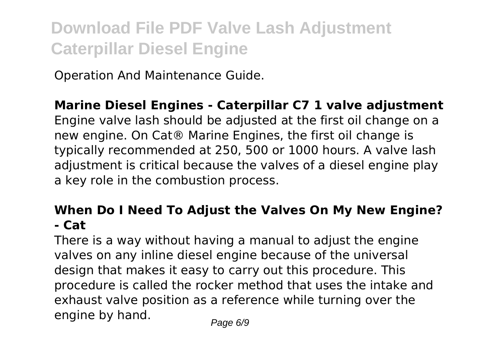Operation And Maintenance Guide.

#### **Marine Diesel Engines - Caterpillar C7 1 valve adjustment**

Engine valve lash should be adjusted at the first oil change on a new engine. On Cat® Marine Engines, the first oil change is typically recommended at 250, 500 or 1000 hours. A valve lash adjustment is critical because the valves of a diesel engine play a key role in the combustion process.

#### **When Do I Need To Adjust the Valves On My New Engine? - Cat**

There is a way without having a manual to adjust the engine valves on any inline diesel engine because of the universal design that makes it easy to carry out this procedure. This procedure is called the rocker method that uses the intake and exhaust valve position as a reference while turning over the engine by hand.  $P_{\text{face 6/9}}$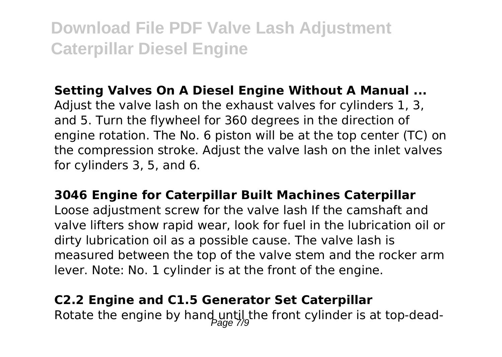#### **Setting Valves On A Diesel Engine Without A Manual ...**

Adjust the valve lash on the exhaust valves for cylinders 1, 3, and 5. Turn the flywheel for 360 degrees in the direction of engine rotation. The No. 6 piston will be at the top center (TC) on the compression stroke. Adjust the valve lash on the inlet valves for cylinders 3, 5, and 6.

**3046 Engine for Caterpillar Built Machines Caterpillar** Loose adjustment screw for the valve lash If the camshaft and valve lifters show rapid wear, look for fuel in the lubrication oil or dirty lubrication oil as a possible cause. The valve lash is measured between the top of the valve stem and the rocker arm lever. Note: No. 1 cylinder is at the front of the engine.

#### **C2.2 Engine and C1.5 Generator Set Caterpillar**

Rotate the engine by hand until the front cylinder is at top-dead-